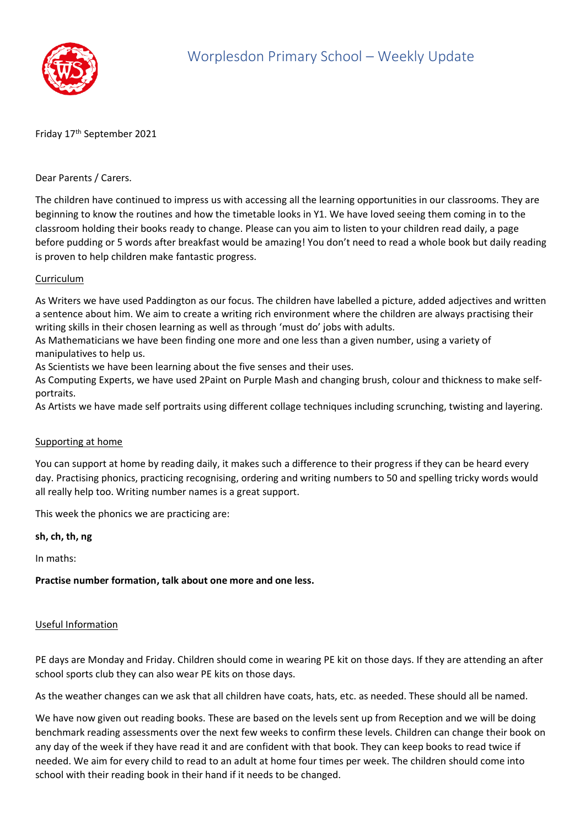

# Friday 17<sup>th</sup> September 2021

## Dear Parents / Carers.

The children have continued to impress us with accessing all the learning opportunities in our classrooms. They are beginning to know the routines and how the timetable looks in Y1. We have loved seeing them coming in to the classroom holding their books ready to change. Please can you aim to listen to your children read daily, a page before pudding or 5 words after breakfast would be amazing! You don't need to read a whole book but daily reading is proven to help children make fantastic progress.

### Curriculum

As Writers we have used Paddington as our focus. The children have labelled a picture, added adjectives and written a sentence about him. We aim to create a writing rich environment where the children are always practising their writing skills in their chosen learning as well as through 'must do' jobs with adults.

As Mathematicians we have been finding one more and one less than a given number, using a variety of manipulatives to help us.

As Scientists we have been learning about the five senses and their uses.

As Computing Experts, we have used 2Paint on Purple Mash and changing brush, colour and thickness to make selfportraits.

As Artists we have made self portraits using different collage techniques including scrunching, twisting and layering.

### Supporting at home

You can support at home by reading daily, it makes such a difference to their progress if they can be heard every day. Practising phonics, practicing recognising, ordering and writing numbers to 50 and spelling tricky words would all really help too. Writing number names is a great support.

This week the phonics we are practicing are:

**sh, ch, th, ng**

In maths:

**Practise number formation, talk about one more and one less.**

### Useful Information

PE days are Monday and Friday. Children should come in wearing PE kit on those days. If they are attending an after school sports club they can also wear PE kits on those days.

As the weather changes can we ask that all children have coats, hats, etc. as needed. These should all be named.

We have now given out reading books. These are based on the levels sent up from Reception and we will be doing benchmark reading assessments over the next few weeks to confirm these levels. Children can change their book on any day of the week if they have read it and are confident with that book. They can keep books to read twice if needed. We aim for every child to read to an adult at home four times per week. The children should come into school with their reading book in their hand if it needs to be changed.